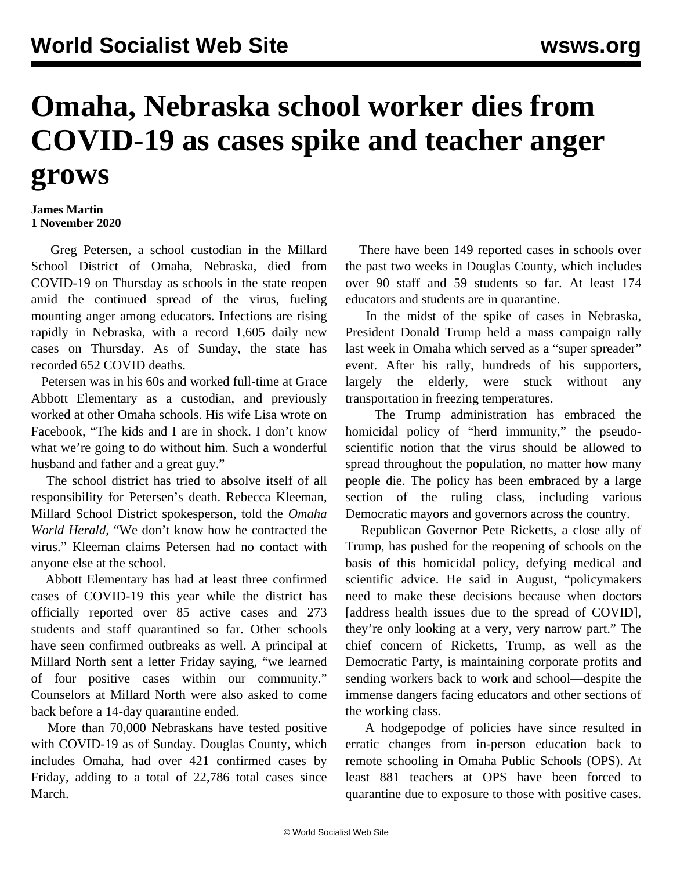## **Omaha, Nebraska school worker dies from COVID-19 as cases spike and teacher anger grows**

**James Martin 1 November 2020**

 Greg Petersen, a school custodian in the Millard School District of Omaha, Nebraska, died from COVID-19 on Thursday as schools in the state reopen amid the continued spread of the virus, fueling mounting anger among educators. Infections are rising rapidly in Nebraska, with a record 1,605 daily new cases on Thursday. As of Sunday, the state has recorded 652 COVID deaths.

 Petersen was in his 60s and worked full-time at Grace Abbott Elementary as a custodian, and previously worked at other Omaha schools. His wife Lisa wrote on Facebook, "The kids and I are in shock. I don't know what we're going to do without him. Such a wonderful husband and father and a great guy."

 The school district has tried to absolve itself of all responsibility for Petersen's death. Rebecca Kleeman, Millard School District spokesperson, told the *Omaha World Herald,* "We don't know how he contracted the virus." Kleeman claims Petersen had no contact with anyone else at the school.

 Abbott Elementary has had at least three confirmed cases of COVID-19 this year while the district has officially reported over 85 active cases and 273 students and staff quarantined so far. Other schools have seen confirmed outbreaks as well. A principal at Millard North sent a letter Friday saying, "we learned of four positive cases within our community." Counselors at Millard North were also asked to come back before a 14-day quarantine ended.

 More than 70,000 Nebraskans have tested positive with COVID-19 as of Sunday. Douglas County, which includes Omaha, had over 421 confirmed cases by Friday, adding to a total of 22,786 total cases since March.

 There have been 149 reported cases in schools over the past two weeks in Douglas County, which includes over 90 staff and 59 students so far. At least 174 educators and students are in quarantine.

 In the midst of the spike of cases in Nebraska, President Donald Trump held a mass campaign rally last week in Omaha which served as a "super spreader" event. After his rally, hundreds of his supporters, largely the elderly, were stuck without any transportation in freezing temperatures.

 The Trump administration has embraced the homicidal policy of "herd immunity," the pseudoscientific notion that the virus should be allowed to spread throughout the population, no matter how many people die. The policy has been embraced by a large section of the ruling class, including various Democratic mayors and governors across the country.

 Republican Governor Pete Ricketts, a close ally of Trump, has pushed for the reopening of schools on the basis of this homicidal policy, defying medical and scientific advice. He said in August, "policymakers need to make these decisions because when doctors [address health issues due to the spread of COVID], they're only looking at a very, very narrow part." The chief concern of Ricketts, Trump, as well as the Democratic Party, is maintaining corporate profits and sending workers back to work and school—despite the immense dangers facing educators and other sections of the working class.

 A hodgepodge of policies have since resulted in erratic changes from in-person education back to remote schooling in Omaha Public Schools (OPS). At least 881 teachers at OPS have been forced to quarantine due to exposure to those with positive cases.